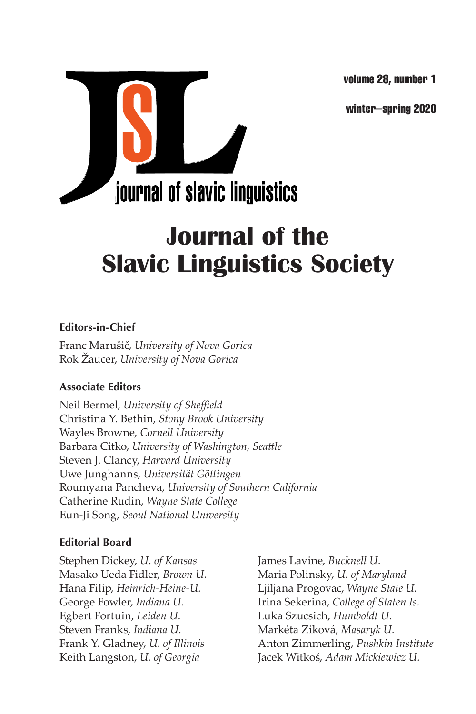volume 28, number 1

winter–spring 2020



# **Journal of the Slavic Linguistics Society**

#### **Editors-in-Chief**

Franc Marušič, *University of Nova Gorica* Rok Žaucer, *University of Nova Gorica*

#### **Associate Editors**

Neil Bermel, *University of Sheffield* Christina Y. Bethin, *Stony Brook University* Wayles Browne, *Cornell University* Barbara Citko, *University of Washington, Seattle* Steven J. Clancy, *Harvard University* Uwe Junghanns, *Universität Göttingen* Roumyana Pancheva, *University of Southern California* Catherine Rudin, *Wayne State College* Eun-Ji Song, *Seoul National University*

#### **Editorial Board**

Stephen Dickey, *U. of Kansas* James Lavine, *Bucknell U.* Masako Ueda Fidler, *Brown U.* Maria Polinsky, *U. of Maryland* Egbert Fortuin, *Leiden U.* Luka Szucsich, *Humboldt U.* Steven Franks, *Indiana U.* Markéta Ziková, *Masaryk U.*

Hana Filip, *Heinrich-Heine-U.* Ljiljana Progovac, *Wayne State U.* George Fowler, *Indiana U.* Irina Sekerina, *College of Staten Is.* Frank Y. Gladney, *U. of Illinois* Anton Zimmerling, *Pushkin Institute* Keith Langston, *U. of Georgia* Jacek Witkoś, *Adam Mickiewicz U.*